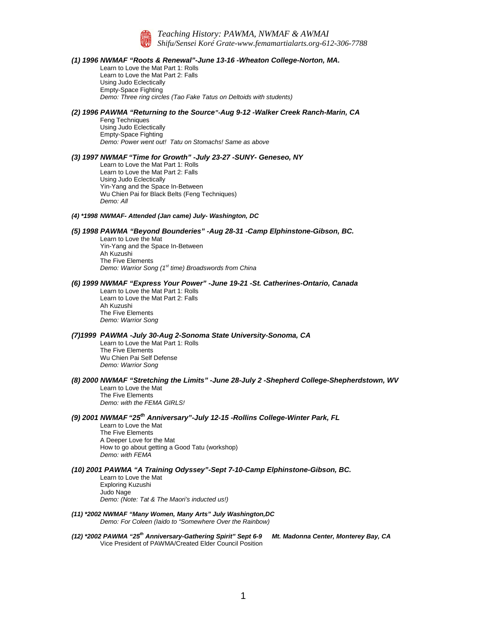

*Teaching History: PAWMA, NWMAF & AWMAI Shifu/Sensei Koré Grate[-www.femamartialarts.org-](http://www.femamartialarts.org/)612-306-7788*

#### *(1) 1996 NWMAF "Roots & Renewal"-June 13-16 -Wheaton College-Norton, MA.*

Learn to Love the Mat Part 1: Rolls Learn to Love the Mat Part 2: Falls Using Judo Eclectically Empty-Space Fighting *Demo: Three ring circles (Tao Fake Tatus on Deltoids with students)*

## *(2) 1996 PAWMA "Returning to the Source"-Aug 9-12 -Walker Creek Ranch-Marin, CA*

Feng Techniques Using Judo Eclectically Empty-Space Fighting *Demo: Power went out! Tatu on Stomachs! Same as above*

#### *(3) 1997 NWMAF "Time for Growth" -July 23-27 -SUNY- Geneseo, NY*

Learn to Love the Mat Part 1: Rolls Learn to Love the Mat Part 2: Falls Using Judo Eclectically Yin-Yang and the Space In-Between Wu Chien Pai for Black Belts (Feng Techniques) *Demo: All*

- *(4) \*1998 NWMAF- Attended (Jan came) July- Washington, DC*
- *(5) 1998 PAWMA "Beyond Bounderies" -Aug 28-31 -Camp Elphinstone-Gibson, BC.*

Learn to Love the Mat Yin-Yang and the Space In-Between Ah Kuzushi The Five Elements *Demo: Warrior Song (1st time) Broadswords from China*

## *(6) 1999 NWMAF "Express Your Power" -June 19-21 -St. Catherines-Ontario, Canada*

Learn to Love the Mat Part 1: Rolls Learn to Love the Mat Part 2: Falls Ah Kuzushi The Five Elements *Demo: Warrior Song*

## *(7)1999 PAWMA -July 30-Aug 2-Sonoma State University-Sonoma, CA*

Learn to Love the Mat Part 1: Rolls The Five Elements Wu Chien Pai Self Defense *Demo: Warrior Song*

# *(8) 2000 NWMAF "Stretching the Limits" -June 28-July 2 -Shepherd College-Shepherdstown, WV*

Learn to Love the Mat The Five Elements *Demo: with the FEMA GIRLS!*

## *(9) 2001 NWMAF "25th Anniversary"-July 12-15 -Rollins College-Winter Park, FL*

Learn to Love the Mat The Five Elements A Deeper Love for the Mat How to go about getting a Good Tatu (workshop) *Demo: with FEMA*

### *(10) 2001 PAWMA "A Training Odyssey"-Sept 7-10-Camp Elphinstone-Gibson, BC.*

Learn to Love the Mat Exploring Kuzushi Judo Nage *Demo: (Note: Tat & The Maori's inducted us!)*

- *(11) \*2002 NWMAF "Many Women, Many Arts" July Washington,DC Demo: For Coleen (Iaido to "Somewhere Over the Rainbow)*
- *(12) \*2002 PAWMA "25th Anniversary-Gathering Spirit" Sept 6-9 Mt. Madonna Center, Monterey Bay, CA*  Vice President of PAWMA/Created Elder Council Position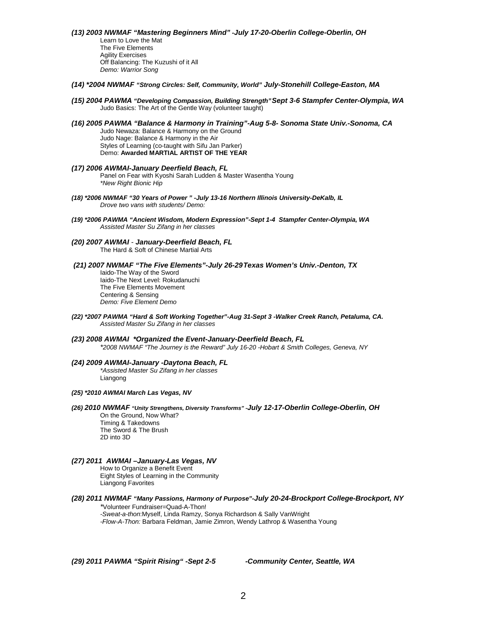*(13) 2003 NWMAF "Mastering Beginners Mind" -July 17-20-Oberlin College-Oberlin, OH* Learn to Love the Mat The Five Elements Agility Exercises Off Balancing: The Kuzushi of it All *Demo: Warrior Song*

- *(14) \*2004 NWMAF "Strong Circles: Self, Community, World" July-Stonehill College-Easton, MA*
- *(15) 2004 PAWMA "Developing Compassion, Building Strength"Sept 3-6 Stampfer Center-Olympia, WA* Judo Basics: The Art of the Gentle Way (volunteer taught)
- *(16) 2005 PAWMA "Balance & Harmony in Training"-Aug 5-8- Sonoma State Univ.-Sonoma, CA*  Judo Newaza: Balance & Harmony on the Ground Judo Nage: Balance & Harmony in the Air Styles of Learning (co-taught with Sifu Jan Parker) Demo: **Awarded MARTIAL ARTIST OF THE YEAR**
- *(17) 2006 AWMAI-January Deerfield Beach, FL* Panel on Fear with Kyoshi Sarah Ludden & Master Wasentha Young *\*New Right Bionic Hip*
- *(18) \*2006 NWMAF "30 Years of Power " -July 13-16 Northern Illinois University-DeKalb, IL Drove two vans with students/ Demo:*
- *(19) \*2006 PAWMA "Ancient Wisdom, Modern Expression"-Sept 1-4 Stampfer Center-Olympia, WA Assisted Master Su Zifang in her classes*
- *(20) 2007 AWMAI - January-Deerfield Beach, FL* The Hard & Soft of Chinese Martial Arts
- *(21) 2007 NWMAF "The Five Elements"-July 26-29Texas Women's Univ.-Denton, TX*

Iaido-The Way of the Sword Iaido-The Next Level: Rokudanuchi The Five Elements Movement Centering & Sensing *Demo: Five Element Demo*

- *(22) \*2007 PAWMA "Hard & Soft Working Together"-Aug 31-Sept 3 -Walker Creek Ranch, Petaluma, CA. Assisted Master Su Zifang in her classes*
- *(23) 2008 AWMAI \*Organized the Event-January-Deerfield Beach, FL \*2008 NWMAF "The Journey is the Reward" July 16-20 -Hobart & Smith Colleges, Geneva, NY*
- *(24) 2009 AWMAI-January -Daytona Beach, FL \*Assisted Master Su Zifang in her classes* Liangong
- *(25) \*2010 AWMAI March Las Vegas, NV*
- *(26) 2010 NWMAF "Unity Strengthens, Diversity Transforms" -July 12-17-Oberlin College-Oberlin, OH* On the Ground, Now What? Timing & Takedowns

The Sword & The Brush 2D into 3D

## *(27) 2011 AWMAI –January-Las Vegas, NV*

How to Organize a Benefit Event Eight Styles of Learning in the Community Liangong Favorites

*(28) 2011 NWMAF "Many Passions, Harmony of Purpose"-July 20-24-Brockport College-Brockport, NY \**Volunteer Fundraiser=Quad-A-Thon!

*-Sweat-a-thon*:Myself, Linda Ramzy, Sonya Richardson & Sally VanWright *-Flow-A-Thon:* Barbara Feldman, Jamie Zimron, Wendy Lathrop & Wasentha Young

*(29) 2011 PAWMA "Spirit Rising" -Sept 2-5 -Community Center, Seattle, WA*